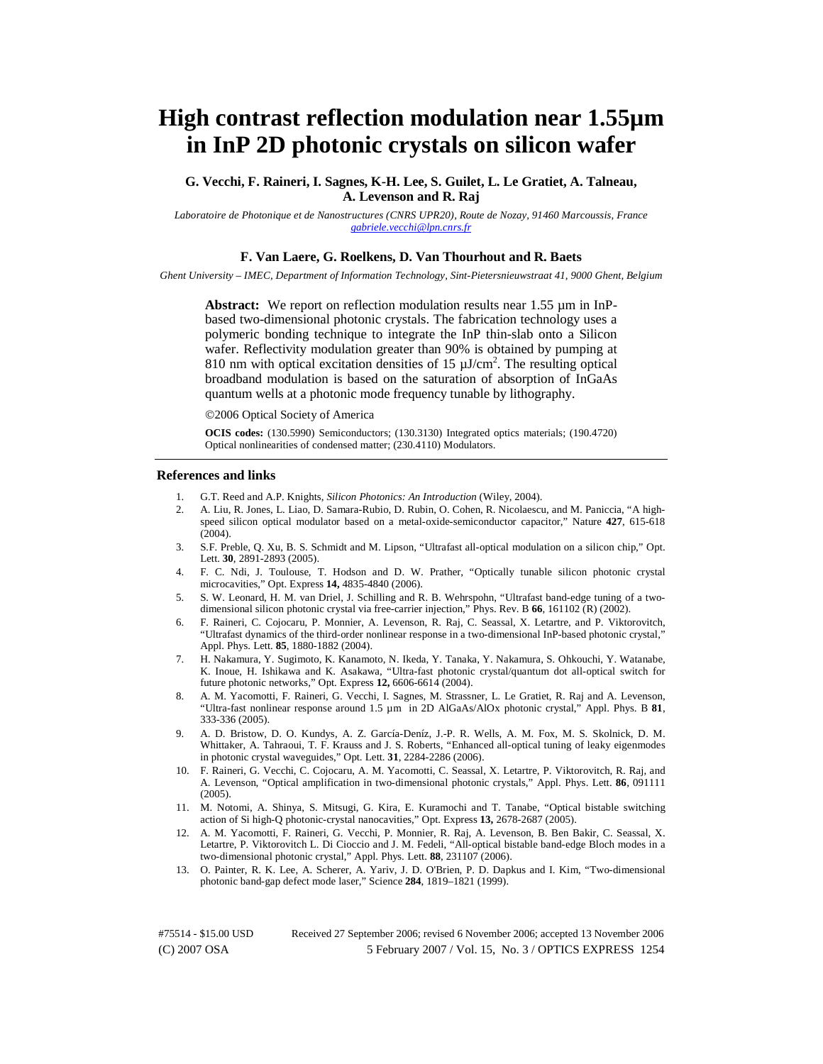# **High contrast reflection modulation near 1.55µm in InP 2D photonic crystals on silicon wafer**

**G. Vecchi, F. Raineri, I. Sagnes, K-H. Lee, S. Guilet, L. Le Gratiet, A. Talneau, A. Levenson and R. Raj** 

*Laboratoire de Photonique et de Nanostructures (CNRS UPR20), Route de Nozay, 91460 Marcoussis, France gabriele.vecchi@lpn.cnrs.fr*

## **F. Van Laere, G. Roelkens, D. Van Thourhout and R. Baets**

*Ghent University – IMEC, Department of Information Technology, Sint-Pietersnieuwstraat 41, 9000 Ghent, Belgium* 

**Abstract:** We report on reflection modulation results near 1.55  $\mu$ m in InPbased two-dimensional photonic crystals. The fabrication technology uses a polymeric bonding technique to integrate the InP thin-slab onto a Silicon wafer. Reflectivity modulation greater than 90% is obtained by pumping at 810 nm with optical excitation densities of 15  $\mu$ J/cm<sup>2</sup>. The resulting optical broadband modulation is based on the saturation of absorption of InGaAs quantum wells at a photonic mode frequency tunable by lithography.

©2006 Optical Society of America

**OCIS codes:** (130.5990) Semiconductors; (130.3130) Integrated optics materials; (190.4720) Optical nonlinearities of condensed matter; (230.4110) Modulators.

#### **References and links**

- 1. G.T. Reed and A.P. Knights, *Silicon Photonics: An Introduction* (Wiley, 2004).
- 2. A. Liu, R. Jones, L. Liao, D. Samara-Rubio, D. Rubin, O. Cohen, R. Nicolaescu, and M. Paniccia, "A highspeed silicon optical modulator based on a metal-oxide-semiconductor capacitor," Nature **427**, 615-618 (2004).
- 3. S.F. Preble, Q. Xu, B. S. Schmidt and M. Lipson, "Ultrafast all-optical modulation on a silicon chip," Opt. Lett. **30**, 2891-2893 (2005).
- 4. F. C. Ndi, J. Toulouse, T. Hodson and D. W. Prather, "Optically tunable silicon photonic crystal microcavities," Opt. Express **14,** 4835-4840 (2006).
- 5. S. W. Leonard, H. M. van Driel, J. Schilling and R. B. Wehrspohn, "Ultrafast band-edge tuning of a twodimensional silicon photonic crystal via free-carrier injection," Phys. Rev. B **66**, 161102 (R) (2002).
- 6. F. Raineri, C. Cojocaru, P. Monnier, A. Levenson, R. Raj, C. Seassal, X. Letartre, and P. Viktorovitch, "Ultrafast dynamics of the third-order nonlinear response in a two-dimensional InP-based photonic crystal," Appl. Phys. Lett. **85**, 1880-1882 (2004).
- 7. H. Nakamura, Y. Sugimoto, K. Kanamoto, N. Ikeda, Y. Tanaka, Y. Nakamura, S. Ohkouchi, Y. Watanabe, K. Inoue, H. Ishikawa and K. Asakawa, "Ultra-fast photonic crystal/quantum dot all-optical switch for future photonic networks," Opt. Express **12,** 6606-6614 (2004).
- 8. A. M. Yacomotti, F. Raineri, G. Vecchi, I. Sagnes, M. Strassner, L. Le Gratiet, R. Raj and A. Levenson, "Ultra-fast nonlinear response around 1.5 µm in 2D AlGaAs/AlOx photonic crystal," Appl. Phys. B **81**, 333-336 (2005).
- 9. A. D. Bristow, D. O. Kundys, A. Z. García-Deníz, J.-P. R. Wells, A. M. Fox, M. S. Skolnick, D. M. Whittaker, A. Tahraoui, T. F. Krauss and J. S. Roberts, "Enhanced all-optical tuning of leaky eigenmodes in photonic crystal waveguides," Opt. Lett. **31**, 2284-2286 (2006).
- 10. F. Raineri, G. Vecchi, C. Cojocaru, A. M. Yacomotti, C. Seassal, X. Letartre, P. Viktorovitch, R. Raj, and A. Levenson, "Optical amplification in two-dimensional photonic crystals," Appl. Phys. Lett. **86**, 091111 (2005).
- 11. M. Notomi, A. Shinya, S. Mitsugi, G. Kira, E. Kuramochi and T. Tanabe, "Optical bistable switching action of Si high-Q photonic-crystal nanocavities," Opt. Express **13,** 2678-2687 (2005).
- 12. A. M. Yacomotti, F. Raineri, G. Vecchi, P. Monnier, R. Raj, A. Levenson, B. Ben Bakir, C. Seassal, X. Letartre, P. Viktorovitch L. Di Cioccio and J. M. Fedeli, "All-optical bistable band-edge Bloch modes in a two-dimensional photonic crystal," Appl. Phys. Lett. **88**, 231107 (2006).
- 13. O. Painter, R. K. Lee, A. Scherer, A. Yariv, J. D. O'Brien, P. D. Dapkus and I. Kim, "Two-dimensional photonic band-gap defect mode laser," Science **284**, 1819–1821 (1999).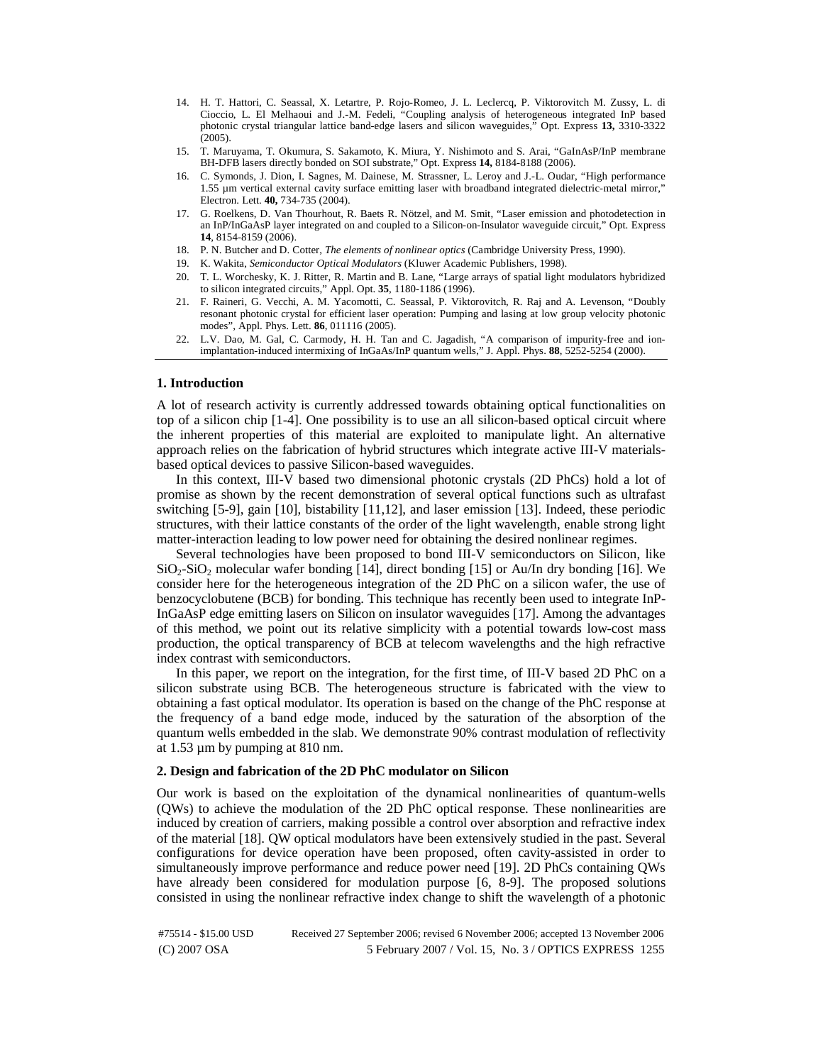- 14. H. T. Hattori, C. Seassal, X. Letartre, P. Rojo-Romeo, J. L. Leclercq, P. Viktorovitch M. Zussy, L. di Cioccio, L. El Melhaoui and J.-M. Fedeli, "Coupling analysis of heterogeneous integrated InP based photonic crystal triangular lattice band-edge lasers and silicon waveguides," Opt. Express **13,** 3310-3322 (2005).
- 15. T. Maruyama, T. Okumura, S. Sakamoto, K. Miura, Y. Nishimoto and S. Arai, "GaInAsP/InP membrane BH-DFB lasers directly bonded on SOI substrate," Opt. Express **14,** 8184-8188 (2006).
- 16. C. Symonds, J. Dion, I. Sagnes, M. Dainese, M. Strassner, L. Leroy and J.-L. Oudar, "High performance 1.55 µm vertical external cavity surface emitting laser with broadband integrated dielectric-metal mirror," Electron. Lett. **40,** 734-735 (2004).
- 17. G. Roelkens, D. Van Thourhout, R. Baets R. Nötzel, and M. Smit, "Laser emission and photodetection in an InP/InGaAsP layer integrated on and coupled to a Silicon-on-Insulator waveguide circuit," Opt. Express **14**, 8154-8159 (2006).
- 18. P. N. Butcher and D. Cotter, *The elements of nonlinear optics* (Cambridge University Press, 1990).
- 19. K. Wakita, *Semiconductor Optical Modulators* (Kluwer Academic Publishers, 1998).
- 20. T. L. Worchesky, K. J. Ritter, R. Martin and B. Lane, "Large arrays of spatial light modulators hybridized to silicon integrated circuits," Appl. Opt. **35**, 1180-1186 (1996).
- 21. F. Raineri, G. Vecchi, A. M. Yacomotti, C. Seassal, P. Viktorovitch, R. Raj and A. Levenson, "Doubly resonant photonic crystal for efficient laser operation: Pumping and lasing at low group velocity photonic modes", Appl. Phys. Lett. **86**, 011116 (2005).
- 22. L.V. Dao, M. Gal, C. Carmody, H. H. Tan and C. Jagadish, "A comparison of impurity-free and ionimplantation-induced intermixing of InGaAs/InP quantum wells," J. Appl. Phys. **88**, 5252-5254 (2000).

## **1. Introduction**

A lot of research activity is currently addressed towards obtaining optical functionalities on top of a silicon chip [1-4]. One possibility is to use an all silicon-based optical circuit where the inherent properties of this material are exploited to manipulate light. An alternative approach relies on the fabrication of hybrid structures which integrate active III-V materialsbased optical devices to passive Silicon-based waveguides.

In this context, III-V based two dimensional photonic crystals (2D PhCs) hold a lot of promise as shown by the recent demonstration of several optical functions such as ultrafast switching [5-9], gain [10], bistability [11,12], and laser emission [13]. Indeed, these periodic structures, with their lattice constants of the order of the light wavelength, enable strong light matter-interaction leading to low power need for obtaining the desired nonlinear regimes.

Several technologies have been proposed to bond III-V semiconductors on Silicon, like  $SiO<sub>2</sub>-SiO<sub>2</sub>$  molecular wafer bonding [14], direct bonding [15] or Au/In dry bonding [16]. We consider here for the heterogeneous integration of the 2D PhC on a silicon wafer, the use of benzocyclobutene (BCB) for bonding. This technique has recently been used to integrate InP-InGaAsP edge emitting lasers on Silicon on insulator waveguides [17]. Among the advantages of this method, we point out its relative simplicity with a potential towards low-cost mass production, the optical transparency of BCB at telecom wavelengths and the high refractive index contrast with semiconductors.

In this paper, we report on the integration, for the first time, of III-V based 2D PhC on a silicon substrate using BCB. The heterogeneous structure is fabricated with the view to obtaining a fast optical modulator. Its operation is based on the change of the PhC response at the frequency of a band edge mode, induced by the saturation of the absorption of the quantum wells embedded in the slab. We demonstrate 90% contrast modulation of reflectivity at 1.53 µm by pumping at 810 nm.

### **2. Design and fabrication of the 2D PhC modulator on Silicon**

Our work is based on the exploitation of the dynamical nonlinearities of quantum-wells (QWs) to achieve the modulation of the 2D PhC optical response. These nonlinearities are induced by creation of carriers, making possible a control over absorption and refractive index of the material [18]. QW optical modulators have been extensively studied in the past. Several configurations for device operation have been proposed, often cavity-assisted in order to simultaneously improve performance and reduce power need [19]. 2D PhCs containing QWs have already been considered for modulation purpose [6, 8-9]. The proposed solutions consisted in using the nonlinear refractive index change to shift the wavelength of a photonic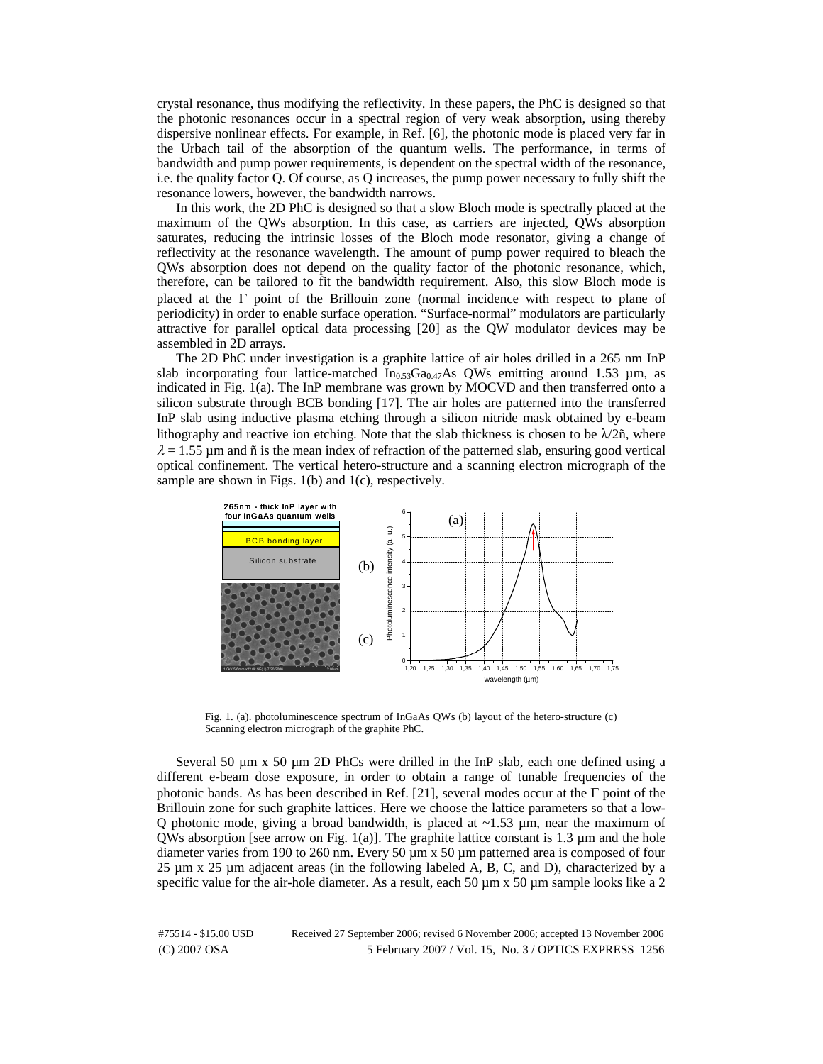crystal resonance, thus modifying the reflectivity. In these papers, the PhC is designed so that the photonic resonances occur in a spectral region of very weak absorption, using thereby dispersive nonlinear effects. For example, in Ref. [6], the photonic mode is placed very far in the Urbach tail of the absorption of the quantum wells. The performance, in terms of bandwidth and pump power requirements, is dependent on the spectral width of the resonance, i.e. the quality factor Q. Of course, as Q increases, the pump power necessary to fully shift the resonance lowers, however, the bandwidth narrows.

In this work, the 2D PhC is designed so that a slow Bloch mode is spectrally placed at the maximum of the QWs absorption. In this case, as carriers are injected, QWs absorption saturates, reducing the intrinsic losses of the Bloch mode resonator, giving a change of reflectivity at the resonance wavelength. The amount of pump power required to bleach the QWs absorption does not depend on the quality factor of the photonic resonance, which, therefore, can be tailored to fit the bandwidth requirement. Also, this slow Bloch mode is placed at the  $\Gamma$  point of the Brillouin zone (normal incidence with respect to plane of periodicity) in order to enable surface operation. "Surface-normal" modulators are particularly attractive for parallel optical data processing [20] as the QW modulator devices may be assembled in 2D arrays.

The 2D PhC under investigation is a graphite lattice of air holes drilled in a 265 nm InP slab incorporating four lattice-matched  $In<sub>0.53</sub>Ga<sub>0.47</sub>As QWs$  emitting around 1.53 µm, as indicated in Fig.  $1(a)$ . The InP membrane was grown by MOCVD and then transferred onto a silicon substrate through BCB bonding [17]. The air holes are patterned into the transferred InP slab using inductive plasma etching through a silicon nitride mask obtained by e-beam lithography and reactive ion etching. Note that the slab thickness is chosen to be  $\lambda/2\tilde{n}$ , where  $\lambda = 1.55$  µm and  $\tilde{n}$  is the mean index of refraction of the patterned slab, ensuring good vertical optical confinement. The vertical hetero-structure and a scanning electron micrograph of the sample are shown in Figs. 1(b) and 1(c), respectively.



Fig. 1. (a). photoluminescence spectrum of InGaAs QWs (b) layout of the hetero-structure (c) Scanning electron micrograph of the graphite PhC.

Several 50  $\mu$ m x 50  $\mu$ m 2D PhCs were drilled in the InP slab, each one defined using a different e-beam dose exposure, in order to obtain a range of tunable frequencies of the photonic bands. As has been described in Ref. [21], several modes occur at the  $\Gamma$  point of the Brillouin zone for such graphite lattices. Here we choose the lattice parameters so that a low-Q photonic mode, giving a broad bandwidth, is placed at  $\sim$ 1.53 µm, near the maximum of QWs absorption [see arrow on Fig. 1(a)]. The graphite lattice constant is 1.3  $\mu$ m and the hole diameter varies from 190 to 260 nm. Every 50 µm x 50 µm patterned area is composed of four  $25 \mu m \times 25 \mu m$  adjacent areas (in the following labeled A, B, C, and D), characterized by a specific value for the air-hole diameter. As a result, each 50  $\mu$ m x 50  $\mu$ m sample looks like a 2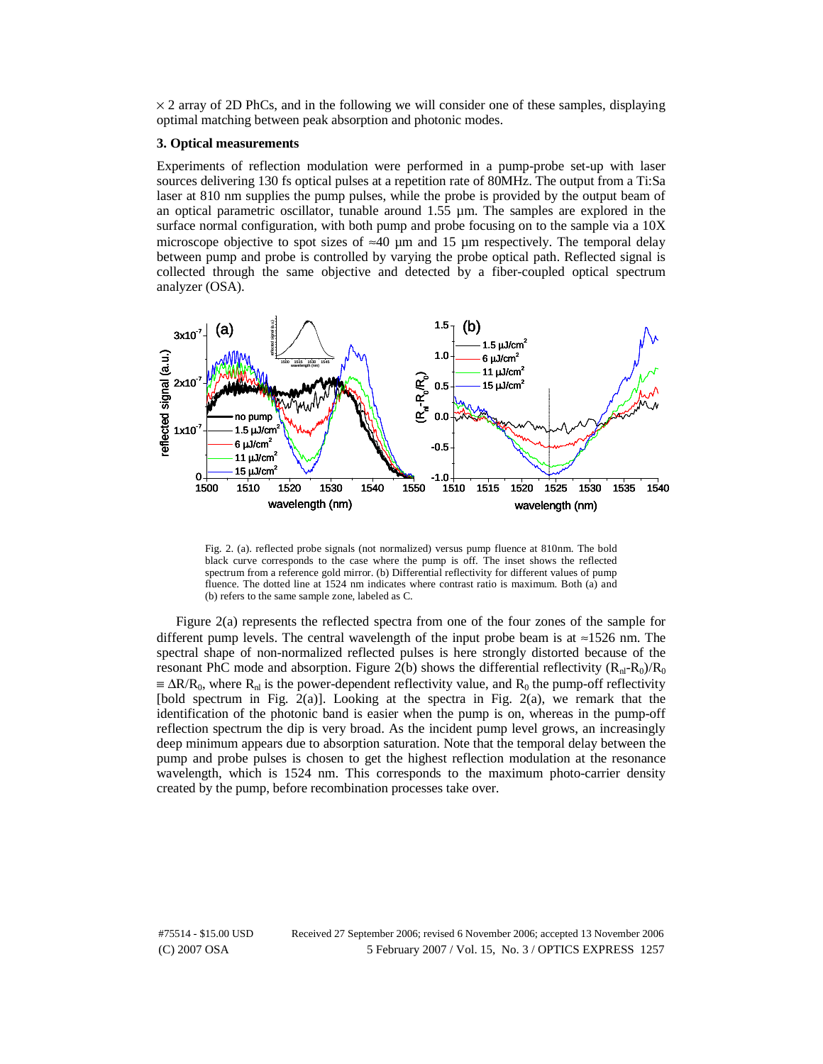$\times$  2 array of 2D PhCs, and in the following we will consider one of these samples, displaying optimal matching between peak absorption and photonic modes.

#### **3. Optical measurements**

Experiments of reflection modulation were performed in a pump-probe set-up with laser sources delivering 130 fs optical pulses at a repetition rate of 80MHz. The output from a Ti:Sa laser at 810 nm supplies the pump pulses, while the probe is provided by the output beam of an optical parametric oscillator, tunable around 1.55 µm. The samples are explored in the surface normal configuration, with both pump and probe focusing on to the sample via a 10X microscope objective to spot sizes of  $\approx$ 40 µm and 15 µm respectively. The temporal delay between pump and probe is controlled by varying the probe optical path. Reflected signal is collected through the same objective and detected by a fiber-coupled optical spectrum analyzer (OSA).



Fig. 2. (a). reflected probe signals (not normalized) versus pump fluence at 810nm. The bold black curve corresponds to the case where the pump is off. The inset shows the reflected spectrum from a reference gold mirror. (b) Differential reflectivity for different values of pump fluence. The dotted line at 1524 nm indicates where contrast ratio is maximum. Both (a) and (b) refers to the same sample zone, labeled as C.

Figure 2(a) represents the reflected spectra from one of the four zones of the sample for different pump levels. The central wavelength of the input probe beam is at  $\approx$ 1526 nm. The spectral shape of non-normalized reflected pulses is here strongly distorted because of the resonant PhC mode and absorption. Figure 2(b) shows the differential reflectivity  $(R_{nl}-R_0)/R_0$  $\equiv \Delta R/R_0$ , where R<sub>nl</sub> is the power-dependent reflectivity value, and R<sub>0</sub> the pump-off reflectivity [bold spectrum in Fig. 2(a)]. Looking at the spectra in Fig. 2(a), we remark that the identification of the photonic band is easier when the pump is on, whereas in the pump-off reflection spectrum the dip is very broad. As the incident pump level grows, an increasingly deep minimum appears due to absorption saturation. Note that the temporal delay between the pump and probe pulses is chosen to get the highest reflection modulation at the resonance wavelength, which is 1524 nm. This corresponds to the maximum photo-carrier density created by the pump, before recombination processes take over.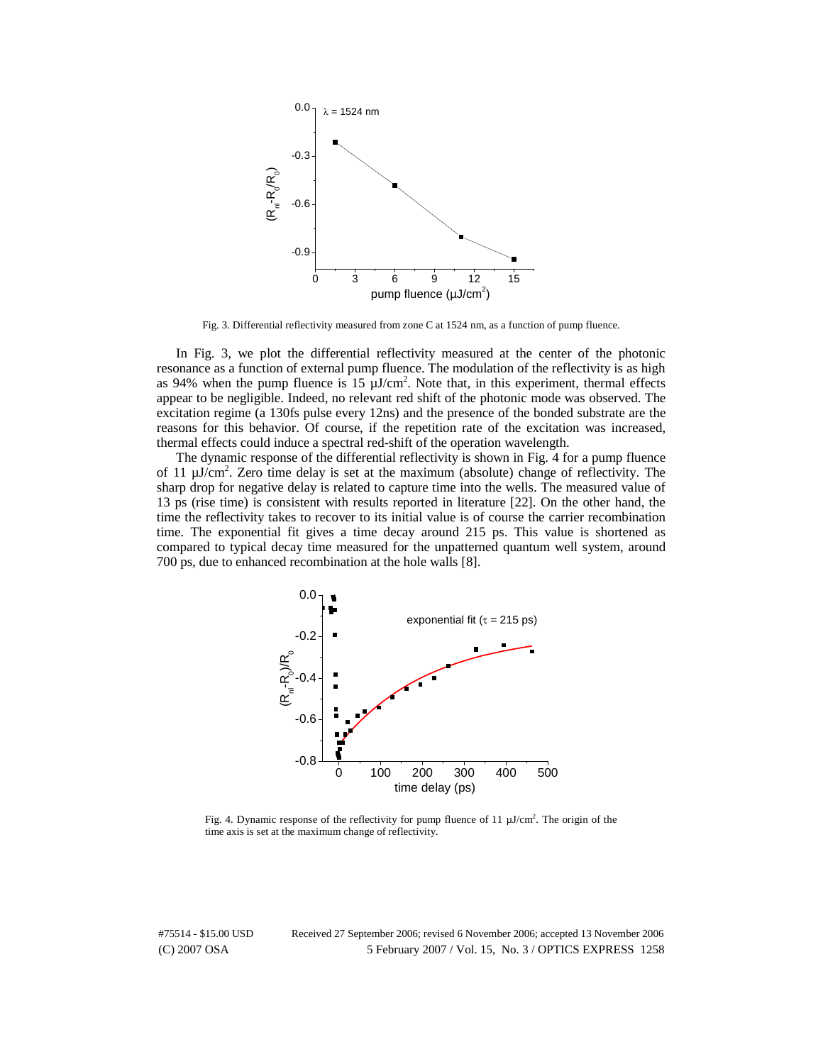

Fig. 3. Differential reflectivity measured from zone C at 1524 nm, as a function of pump fluence.

In Fig. 3, we plot the differential reflectivity measured at the center of the photonic resonance as a function of external pump fluence. The modulation of the reflectivity is as high as 94% when the pump fluence is  $15 \mu J/cm^2$ . Note that, in this experiment, thermal effects appear to be negligible. Indeed, no relevant red shift of the photonic mode was observed. The excitation regime (a 130fs pulse every 12ns) and the presence of the bonded substrate are the reasons for this behavior. Of course, if the repetition rate of the excitation was increased, thermal effects could induce a spectral red-shift of the operation wavelength.

The dynamic response of the differential reflectivity is shown in Fig. 4 for a pump fluence of 11  $\mu$ J/cm<sup>2</sup>. Zero time delay is set at the maximum (absolute) change of reflectivity. The sharp drop for negative delay is related to capture time into the wells. The measured value of 13 ps (rise time) is consistent with results reported in literature [22]. On the other hand, the time the reflectivity takes to recover to its initial value is of course the carrier recombination time. The exponential fit gives a time decay around 215 ps. This value is shortened as compared to typical decay time measured for the unpatterned quantum well system, around 700 ps, due to enhanced recombination at the hole walls [8].



Fig. 4. Dynamic response of the reflectivity for pump fluence of  $11 \mu J/cm^2$ . The origin of the time axis is set at the maximum change of reflectivity.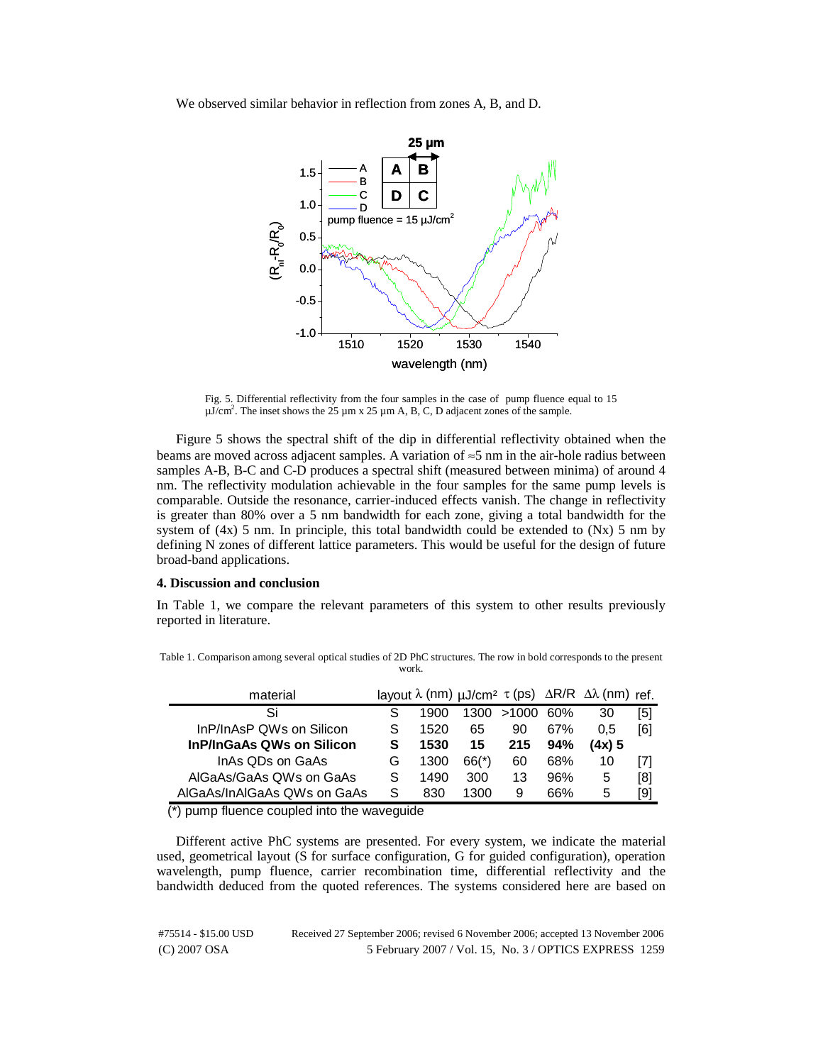We observed similar behavior in reflection from zones A, B, and D.



Fig. 5. Differential reflectivity from the four samples in the case of pump fluence equal to 15  $\mu$ J/cm<sup>2</sup>. The inset shows the 25  $\mu$ m x 25  $\mu$ m A, B, C, D adjacent zones of the sample.

Figure 5 shows the spectral shift of the dip in differential reflectivity obtained when the beams are moved across adjacent samples. A variation of ≈5 nm in the air-hole radius between samples A-B, B-C and C-D produces a spectral shift (measured between minima) of around 4 nm. The reflectivity modulation achievable in the four samples for the same pump levels is comparable. Outside the resonance, carrier-induced effects vanish. The change in reflectivity is greater than 80% over a 5 nm bandwidth for each zone, giving a total bandwidth for the system of  $(4x)$  5 nm. In principle, this total bandwidth could be extended to  $(Nx)$  5 nm by defining N zones of different lattice parameters. This would be useful for the design of future broad-band applications.

## **4. Discussion and conclusion**

In Table 1, we compare the relevant parameters of this system to other results previously reported in literature.

| material                         |   |      |         |       |     | layout $\lambda$ (nm) $\mu$ J/cm <sup>2</sup> $\tau$ (ps) $\Delta$ R/R $\Delta\lambda$ (nm) ref. |     |
|----------------------------------|---|------|---------|-------|-----|--------------------------------------------------------------------------------------------------|-----|
| Si                               |   | 1900 | 1300    | >1000 | 60% | 30                                                                                               | [5] |
| InP/InAsP QWs on Silicon         | S | 1520 | 65      | 90    | 67% | 0.5                                                                                              | [6] |
| <b>InP/InGaAs QWs on Silicon</b> | s | 1530 | 15      | 215   | 94% | (4x) 5                                                                                           |     |
| InAs QDs on GaAs                 | G | 1300 | $66(*)$ | 60    | 68% | 10                                                                                               |     |
| AlGaAs/GaAs QWs on GaAs          |   | 1490 | 300     | 13    | 96% | 5                                                                                                | [8] |
| AlGaAs/InAlGaAs QWs on GaAs      |   | 830  | 1300    | 9     | 66% | 5                                                                                                | [9] |

Table 1. Comparison among several optical studies of 2D PhC structures. The row in bold corresponds to the present work.

(\*) pump fluence coupled into the waveguide

Different active PhC systems are presented. For every system, we indicate the material used, geometrical layout (S for surface configuration, G for guided configuration), operation wavelength, pump fluence, carrier recombination time, differential reflectivity and the bandwidth deduced from the quoted references. The systems considered here are based on